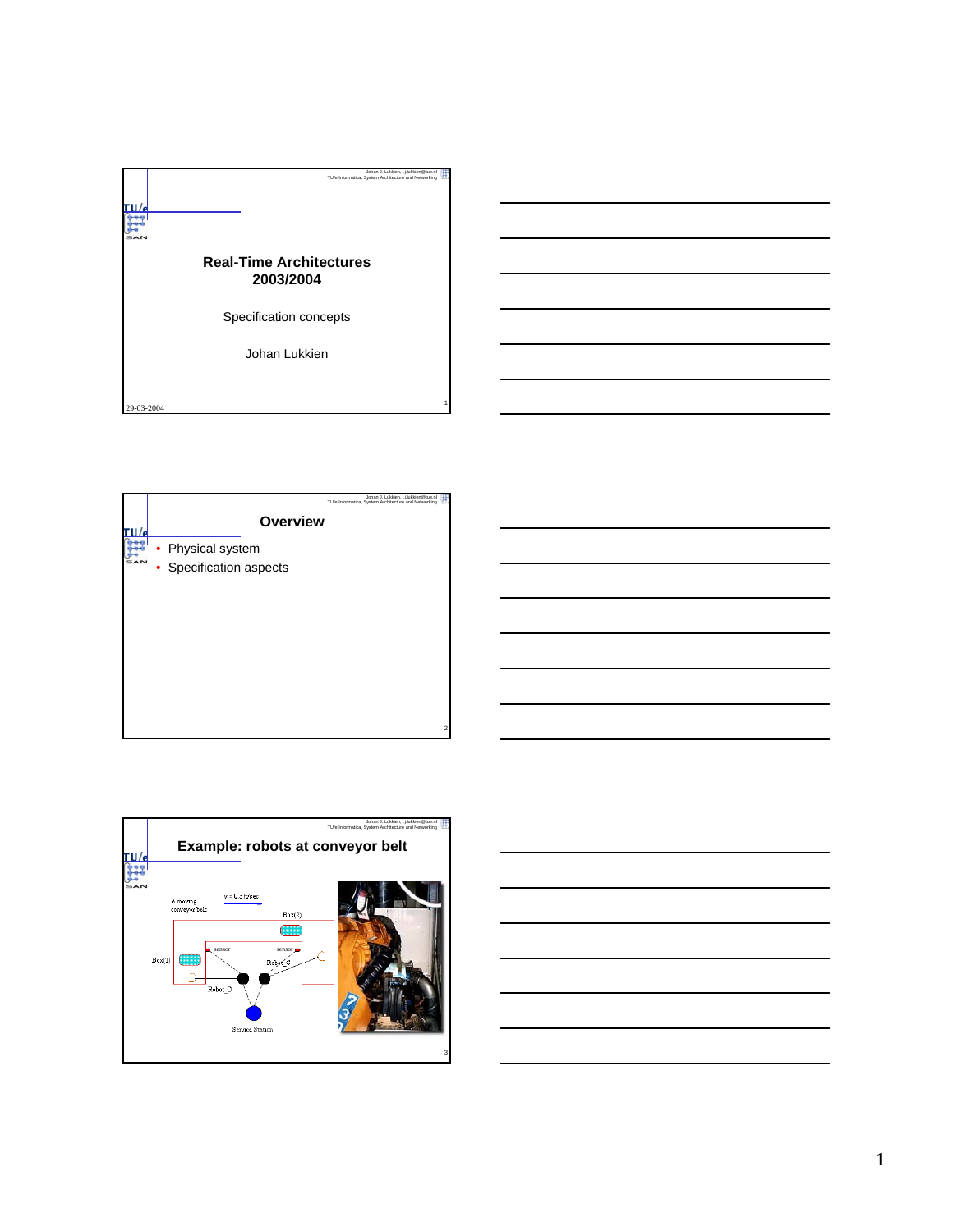





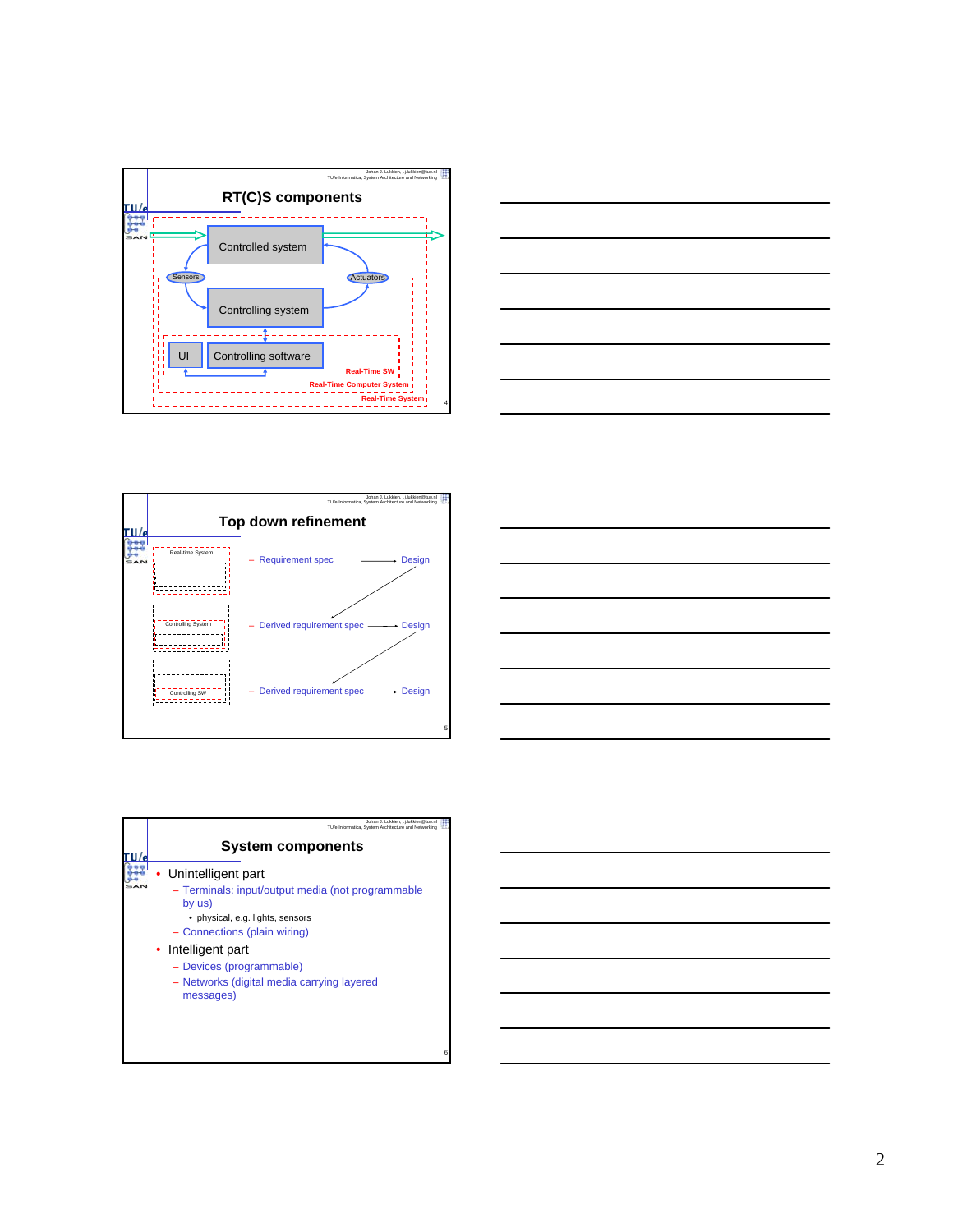







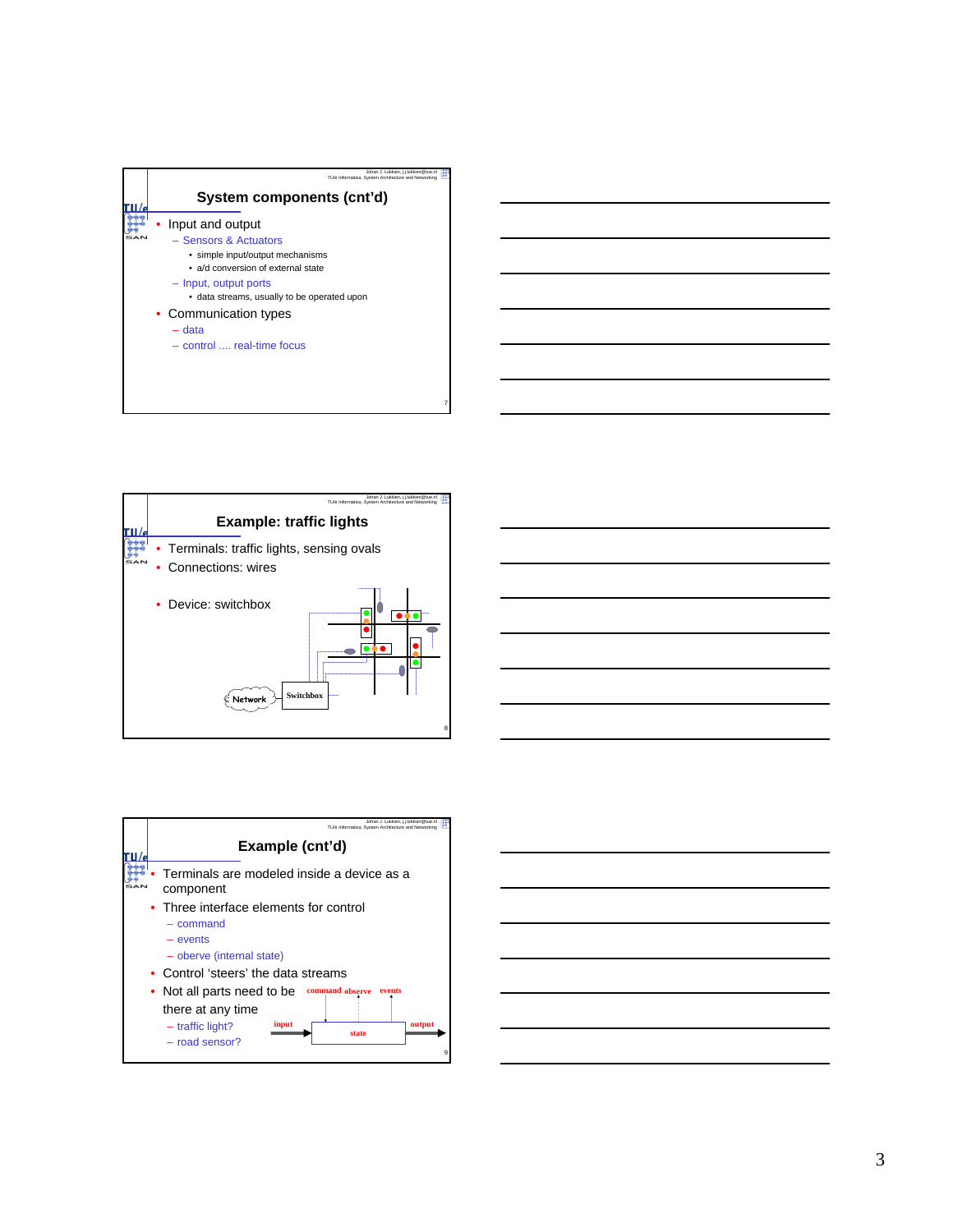



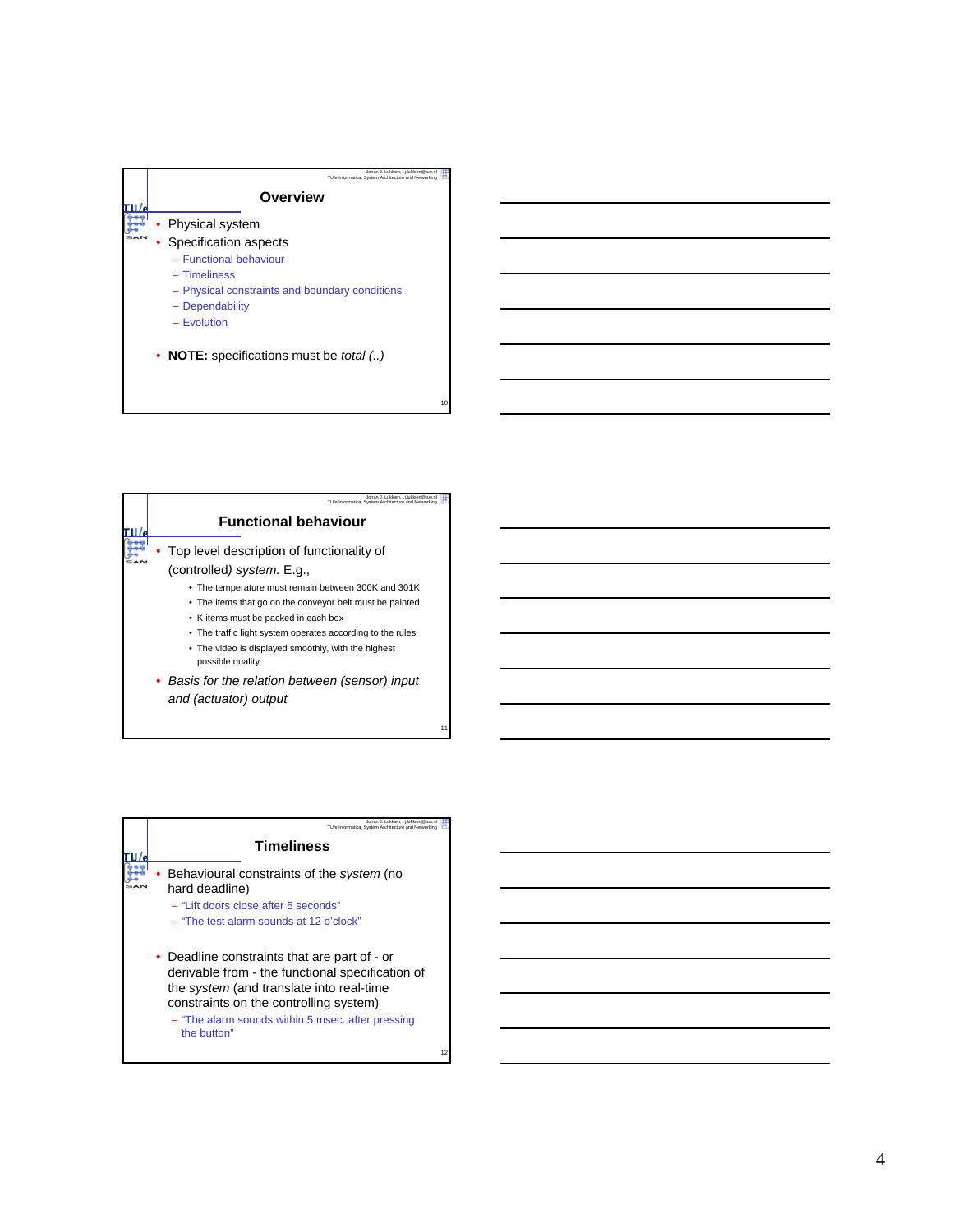

| Johan J. Lukkien, i.i.lukkien@tue.nl<br>TU/e Informatica, System Architecture and Networking |
|----------------------------------------------------------------------------------------------|
| <b>Functional behaviour</b>                                                                  |
| Top level description of functionality of                                                    |
| (controlled) system. E.g.,                                                                   |
| • The temperature must remain between 300K and 301K                                          |
| • The items that go on the conveyor belt must be painted                                     |
| • K items must be packed in each box                                                         |
| • The traffic light system operates according to the rules                                   |
| • The video is displayed smoothly, with the highest<br>possible quality                      |
| • Basis for the relation between (sensor) input                                              |
| and (actuator) output                                                                        |

| Johan J. Lukkien, j.j.lukkien@tue.nl<br>TU/e Informatica. System Architecture and Networking                                                                                                                                                               |    |
|------------------------------------------------------------------------------------------------------------------------------------------------------------------------------------------------------------------------------------------------------------|----|
| <b>Timeliness</b>                                                                                                                                                                                                                                          |    |
| Behavioural constraints of the system (no<br>hard deadline)<br>- "Lift doors close after 5 seconds"                                                                                                                                                        |    |
| $-$ "The test alarm sounds at 12 o'clock"                                                                                                                                                                                                                  |    |
| • Deadline constraints that are part of - or<br>derivable from - the functional specification of<br>the system (and translate into real-time<br>constraints on the controlling system)<br>- "The alarm sounds within 5 msec. after pressing<br>the button" |    |
|                                                                                                                                                                                                                                                            | 12 |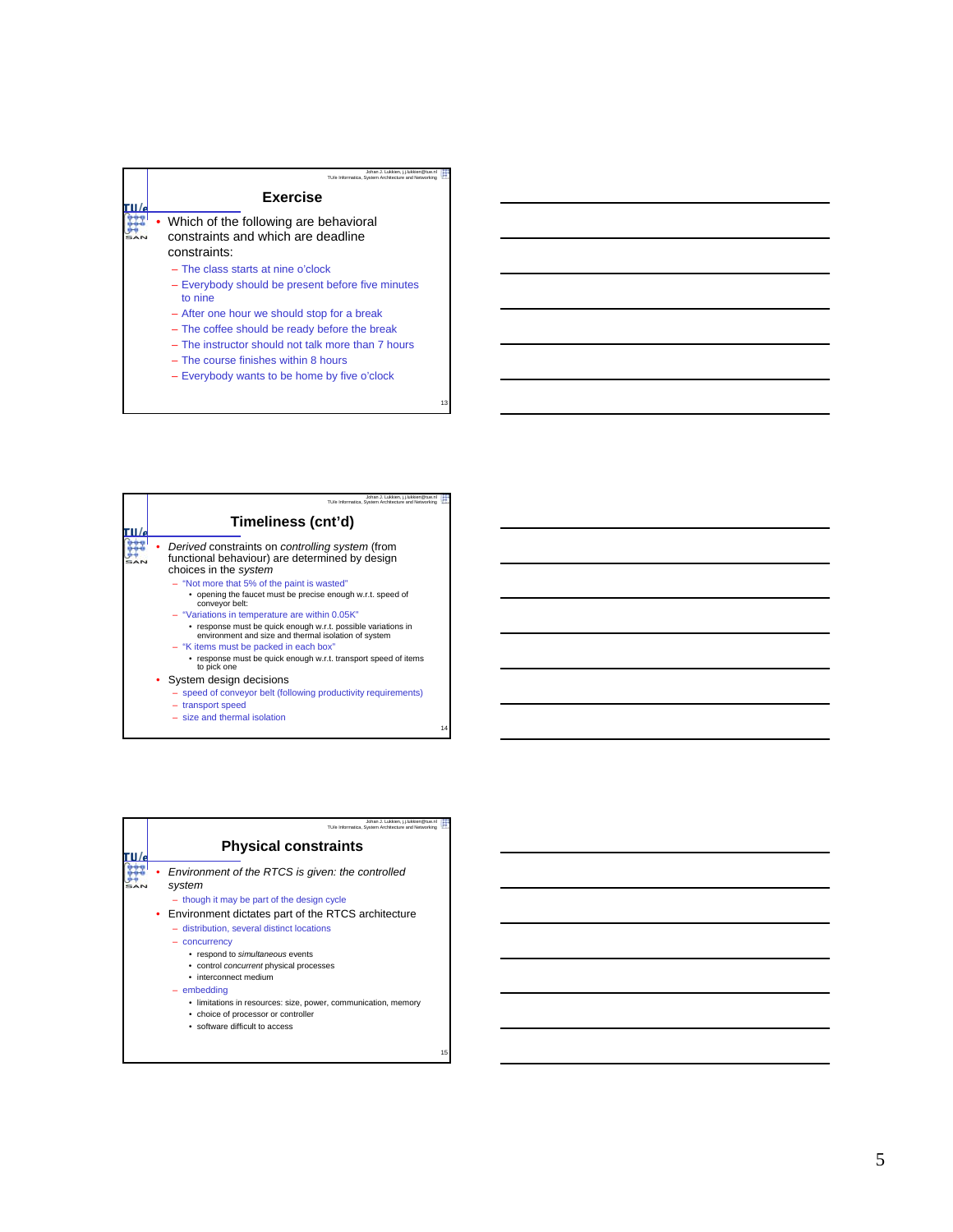

– Everybody wants to be home by five o'clock

|  | Johan J. Lukkien, i.i.lukkien@tue.nl<br>TU/e Informatica. System Architecture and Networking                                                                          |
|--|-----------------------------------------------------------------------------------------------------------------------------------------------------------------------|
|  | Timeliness (cnt'd)                                                                                                                                                    |
|  | Derived constraints on controlling system (from<br>functional behaviour) are determined by design<br>choices in the system                                            |
|  | - "Not more that 5% of the paint is wasted"<br>• opening the faucet must be precise enough w.r.t. speed of<br>conveyor belt:                                          |
|  | - "Variations in temperature are within 0.05K"<br>response must be quick enough w.r.t. possible variations in<br>environment and size and thermal isolation of system |
|  | - "K items must be packed in each box"<br>response must be quick enough w.r.t. transport speed of items<br>to pick one                                                |
|  | • System design decisions<br>- speed of conveyor belt (following productivity requirements)<br>- transport speed                                                      |
|  | - size and thermal isolation                                                                                                                                          |

| Johan J. Lukkien, i.i.lukkien@tue.nl<br>TU/e Informatica. System Architecture and Networking |
|----------------------------------------------------------------------------------------------|
| <b>Physical constraints</b>                                                                  |
| Environment of the RTCS is given: the controlled<br>system                                   |
| - though it may be part of the design cycle                                                  |
| • Environment dictates part of the RTCS architecture                                         |
| - distribution, several distinct locations                                                   |
| concurrency                                                                                  |
| • respond to simultaneous events                                                             |
| • control concurrent physical processes                                                      |
| • interconnect medium                                                                        |
| $-$ embedding                                                                                |
| • limitations in resources: size, power, communication, memory                               |
| • choice of processor or controller                                                          |
| • software difficult to access                                                               |

15

13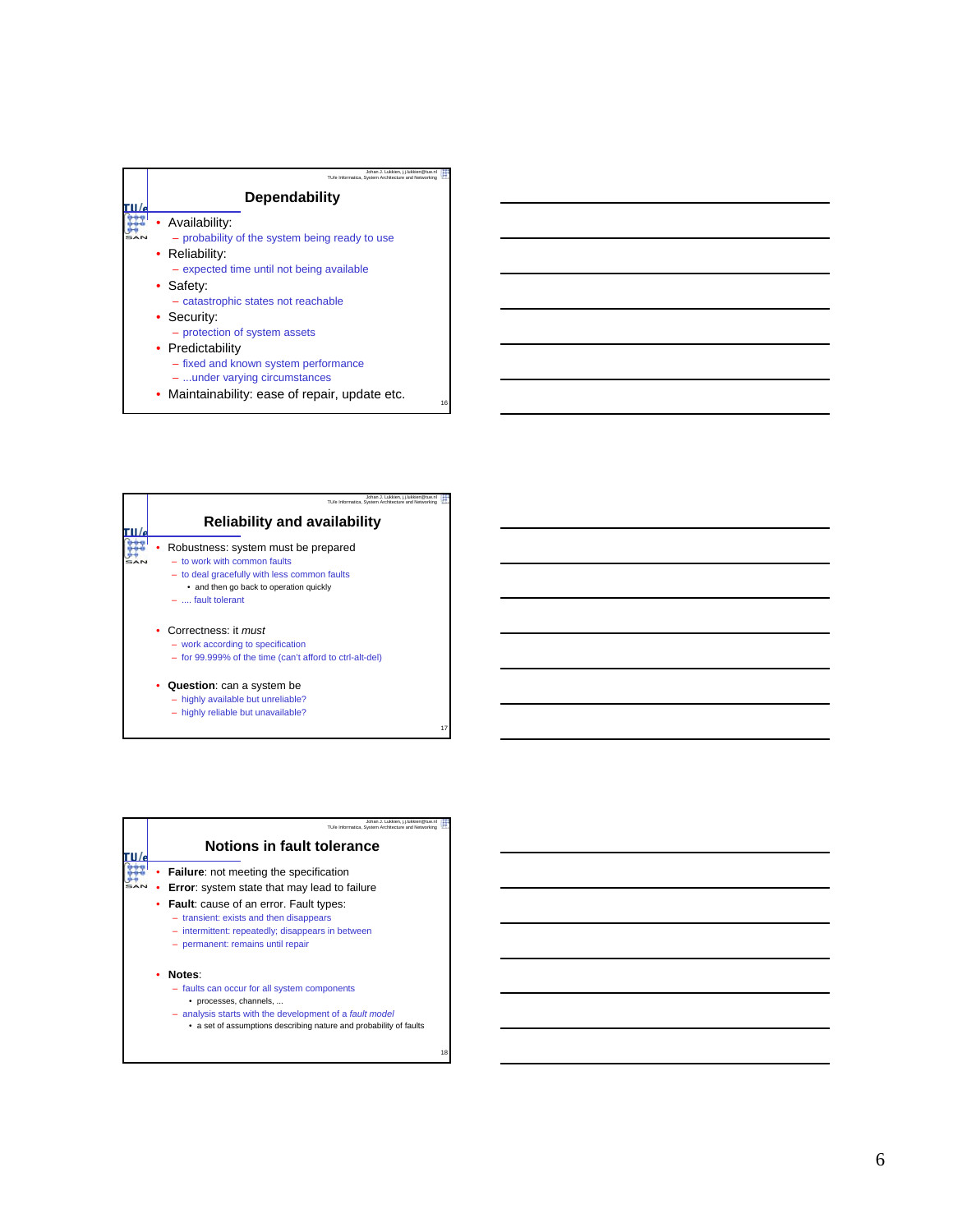

| Johan J. Lukkien, j.j.lukkien@tue.nl<br>TU/e Informatica, System Architecture and Networking                                                                                             |
|------------------------------------------------------------------------------------------------------------------------------------------------------------------------------------------|
| <b>Reliability and availability</b>                                                                                                                                                      |
| Robustness: system must be prepared<br>$-$ to work with common faults<br>- to deal gracefully with less common faults<br>• and then go back to operation quickly<br>$-$ , fault tolerant |
| • Correctness: it must<br>- work according to specification<br>- for 99.999% of the time (can't afford to ctrl-alt-del)                                                                  |
| <b>Question:</b> can a system be<br>- highly available but unreliable?<br>- highly reliable but unavailable?                                                                             |

| Johan J. Lukkien, i.i.lukkien@tue.nl<br>TU/e Informatica. System Architecture and Networking                                                                                                                      |
|-------------------------------------------------------------------------------------------------------------------------------------------------------------------------------------------------------------------|
| Notions in fault tolerance                                                                                                                                                                                        |
| <b>Failure:</b> not meeting the specification                                                                                                                                                                     |
| <b>Error:</b> system state that may lead to failure                                                                                                                                                               |
| <b>Fault:</b> cause of an error. Fault types:<br>- transient: exists and then disappears<br>- intermittent: repeatedly; disappears in between<br>- permanent: remains until repair                                |
| Notes:<br>- faults can occur for all system components<br>• processes, channels,<br>- analysis starts with the development of a fault model<br>• a set of assumptions describing nature and probability of faults |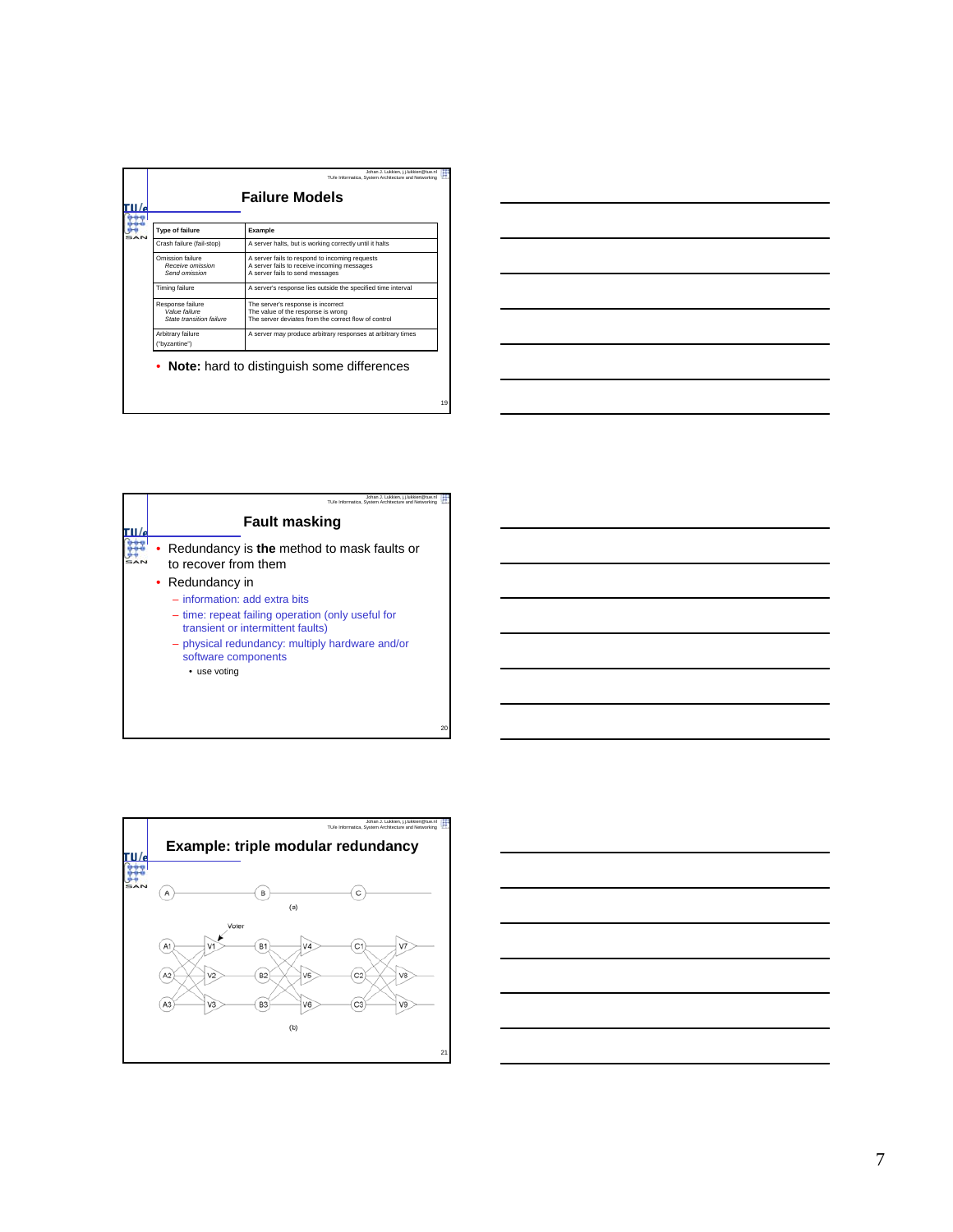| <b>Failure Models</b>                                         |                                                                                                                                  |  |
|---------------------------------------------------------------|----------------------------------------------------------------------------------------------------------------------------------|--|
| <b>Type of failure</b>                                        | Example                                                                                                                          |  |
| Crash failure (fail-stop)                                     | A server halts, but is working correctly until it halts                                                                          |  |
| Omission failure<br>Receive omission<br>Send omission         | A server fails to respond to incoming requests<br>A server fails to receive incoming messages<br>A server fails to send messages |  |
| Timing failure                                                | A server's response lies outside the specified time interval                                                                     |  |
| Response failure<br>Value failure<br>State transition failure | The server's response is incorrect<br>The value of the response is wrong<br>The server deviates from the correct flow of control |  |
| Arbitrary failure<br>("byzantine")                            | A server may produce arbitrary responses at arbitrary times                                                                      |  |

|  |  | <u> 1989 - Jan Samuel Barbara, margaret e control de la contrada de la contrada de la contrada de la contrada de</u>               |  |
|--|--|------------------------------------------------------------------------------------------------------------------------------------|--|
|  |  |                                                                                                                                    |  |
|  |  | <u> 1989 - Andrea Stadt Britain, amerikansk politik (* 1958)</u><br><u> 1989 - Andrea Barbara, Amerikaansk politiker (d. 1989)</u> |  |
|  |  | <u> 1989 - Johann Stoff, amerikansk politiker (d. 1989)</u>                                                                        |  |
|  |  | <u> 1989 - Andrea Station Barbara, actor a component de la componentación de la componentación de la componentació</u>             |  |
|  |  | <u> 1989 - Johann Stein, marwolaethau a bhann an t-Amhair an t-Amhair an t-Amhair an t-Amhair an t-Amhair an t-A</u>               |  |
|  |  |                                                                                                                                    |  |





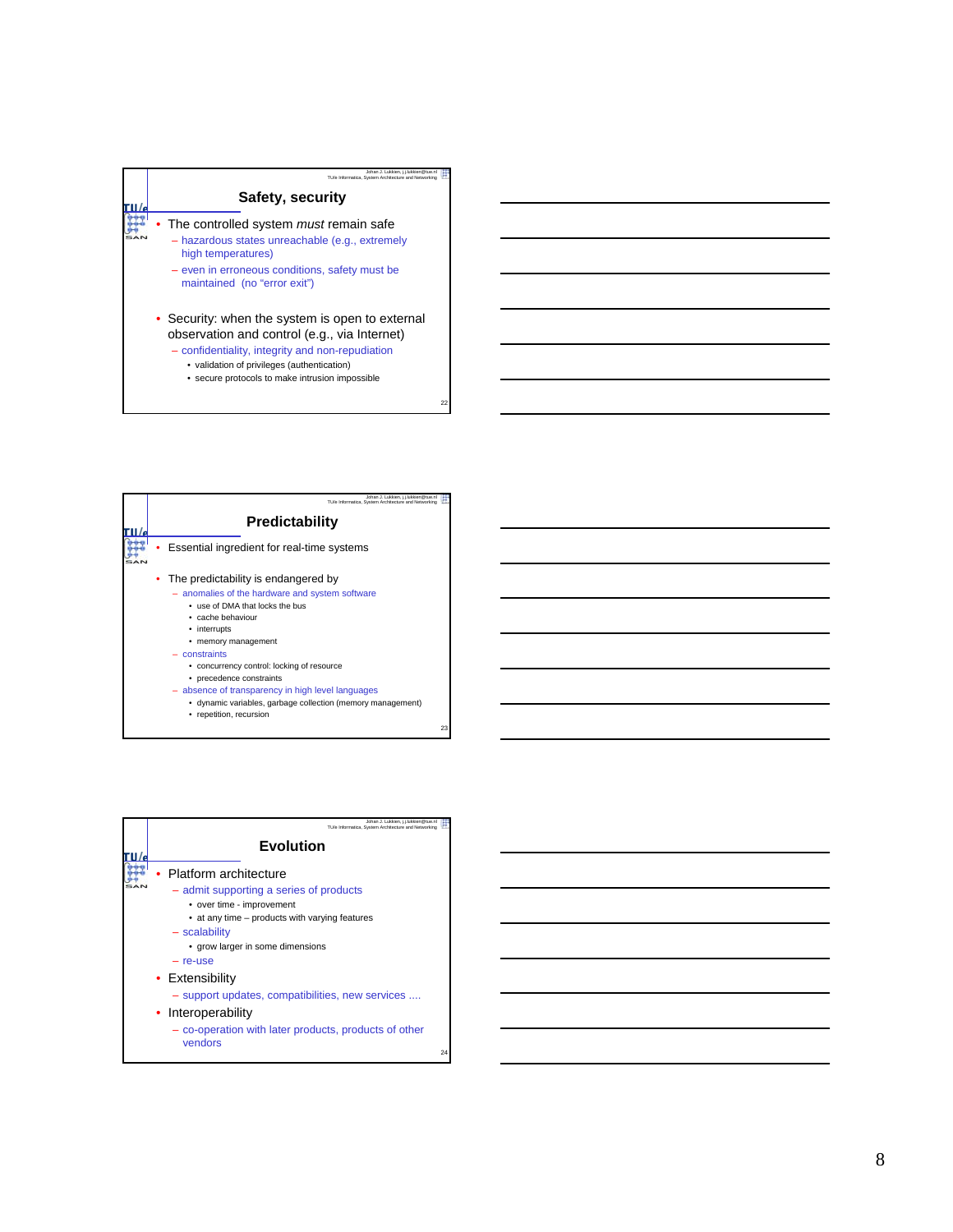

- Security: when the system is open to external observation and control (e.g., via Internet)
	- confidentiality, integrity and non-repudiation
		- validation of privileges (authentication)
		- secure protocols to make intrusion impossible

| Johan J. Lukkien, i.i.lukkien@tue.nl<br>TU/e Informatica, System Architecture and Networking |
|----------------------------------------------------------------------------------------------|
| Predictability                                                                               |
| Essential ingredient for real-time systems                                                   |
| The predictability is endangered by                                                          |
| - anomalies of the hardware and system software                                              |
| . use of DMA that locks the bus                                                              |
| • cache behaviour                                                                            |
| • interrupts                                                                                 |
| • memory management                                                                          |
| $-$ constraints                                                                              |
| • concurrency control: locking of resource                                                   |
| • precedence constraints                                                                     |
| - absence of transparency in high level languages                                            |
| • dynamic variables, garbage collection (memory management)<br>repetition, recursion         |

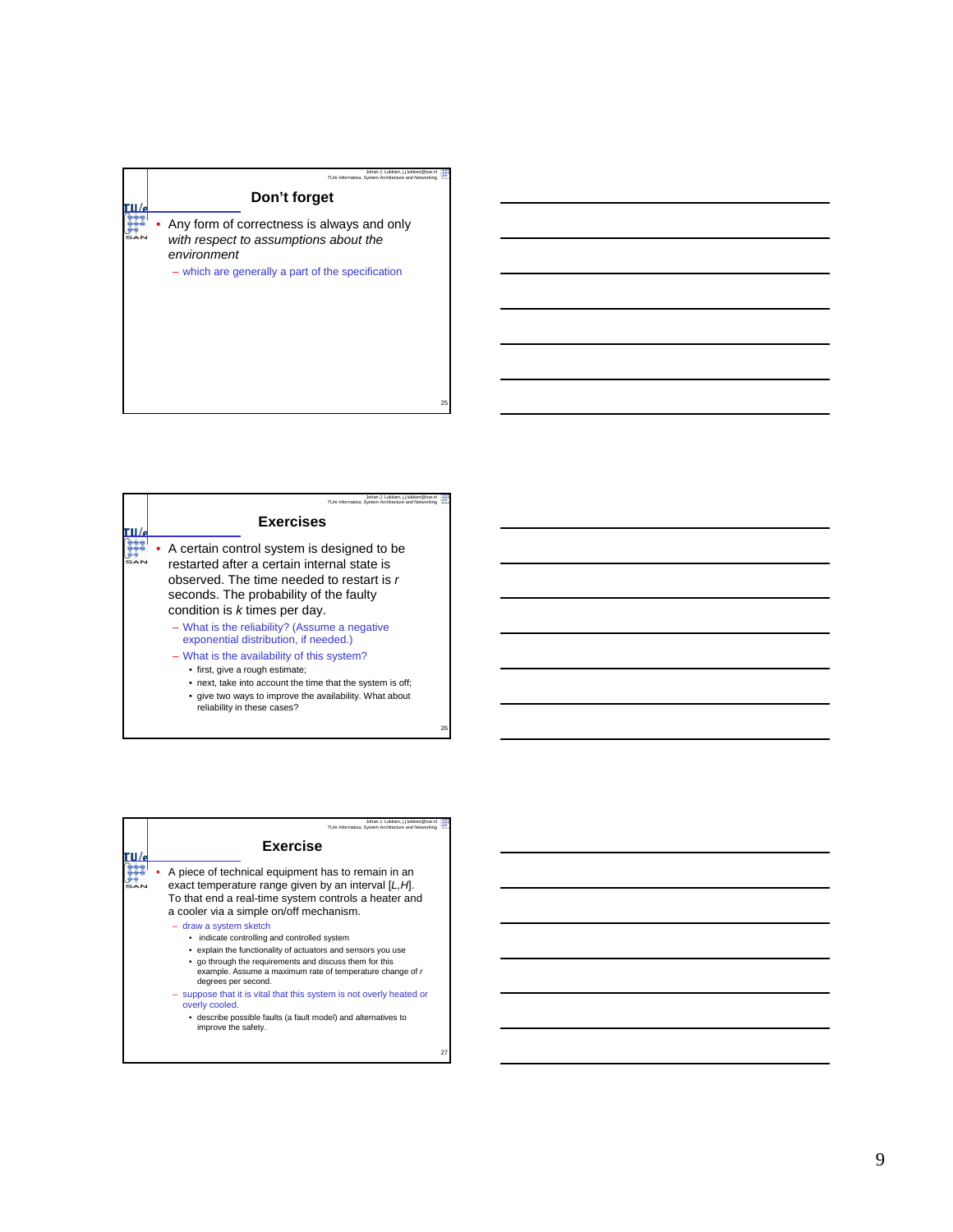## Johan J. Lukkien, j.j.lukkien@tue.nl TU/e Informatica, System Architecture and Networking **Don't forget**  $\frac{1}{\epsilon}$  $\mathbb{R}$ • Any form of correctness is always and only *with respect to assumptions about the environment* – which are generally a part of the specification

| Johan J. Lukkien, i.i.lukkien@tue.nl<br>TU/e Informatica, System Architecture and Networking                                                                                                                                          |
|---------------------------------------------------------------------------------------------------------------------------------------------------------------------------------------------------------------------------------------|
| <b>Exercises</b>                                                                                                                                                                                                                      |
| A certain control system is designed to be<br>restarted after a certain internal state is<br>observed. The time needed to restart is r<br>seconds. The probability of the faulty<br>condition is k times per day.                     |
| - What is the reliability? (Assume a negative<br>exponential distribution, if needed.)                                                                                                                                                |
| - What is the availability of this system?<br>• first, give a rough estimate;<br>• next, take into account the time that the system is off;<br>• give two ways to improve the availability. What about<br>reliability in these cases? |

| Johan J. Lukkien, i.i.lukkien@tue.nl<br>TU/e Informatica. System Architecture and Networking                                                                                                                                                                                                                                                                                                                                                                                                                                                                                                                                                                                             |
|------------------------------------------------------------------------------------------------------------------------------------------------------------------------------------------------------------------------------------------------------------------------------------------------------------------------------------------------------------------------------------------------------------------------------------------------------------------------------------------------------------------------------------------------------------------------------------------------------------------------------------------------------------------------------------------|
| <b>Exercise</b>                                                                                                                                                                                                                                                                                                                                                                                                                                                                                                                                                                                                                                                                          |
| A piece of technical equipment has to remain in an<br>exact temperature range given by an interval [L, H].<br>To that end a real-time system controls a heater and<br>a cooler via a simple on/off mechanism.<br>- draw a system sketch<br>• indicate controlling and controlled system<br>• explain the functionality of actuators and sensors you use<br>• go through the requirements and discuss them for this<br>example. Assume a maximum rate of temperature change of r<br>degrees per second.<br>- suppose that it is vital that this system is not overly heated or<br>overly cooled.<br>· describe possible faults (a fault model) and alternatives to<br>improve the safety. |

27

25

Ŧ